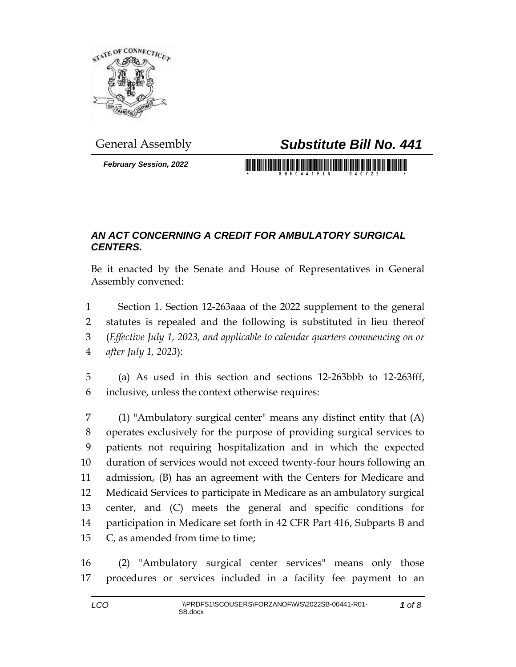

*February Session, 2022*

## General Assembly *Substitute Bill No. 441*

<u> 1977 - Johann Maria Maria Maria Maria Maria Maria Maria Maria Maria Maria Maria Maria Maria Maria Maria Mari</u>

## *AN ACT CONCERNING A CREDIT FOR AMBULATORY SURGICAL CENTERS.*

Be it enacted by the Senate and House of Representatives in General Assembly convened:

 Section 1. Section 12-263aaa of the 2022 supplement to the general statutes is repealed and the following is substituted in lieu thereof (*Effective July 1, 2023, and applicable to calendar quarters commencing on or after July 1, 2023*):

 (a) As used in this section and sections 12-263bbb to 12-263fff, inclusive, unless the context otherwise requires:

 (1) "Ambulatory surgical center" means any distinct entity that (A) operates exclusively for the purpose of providing surgical services to patients not requiring hospitalization and in which the expected duration of services would not exceed twenty-four hours following an admission, (B) has an agreement with the Centers for Medicare and Medicaid Services to participate in Medicare as an ambulatory surgical center, and (C) meets the general and specific conditions for participation in Medicare set forth in 42 CFR Part 416, Subparts B and C, as amended from time to time;

 (2) "Ambulatory surgical center services" means only those procedures or services included in a facility fee payment to an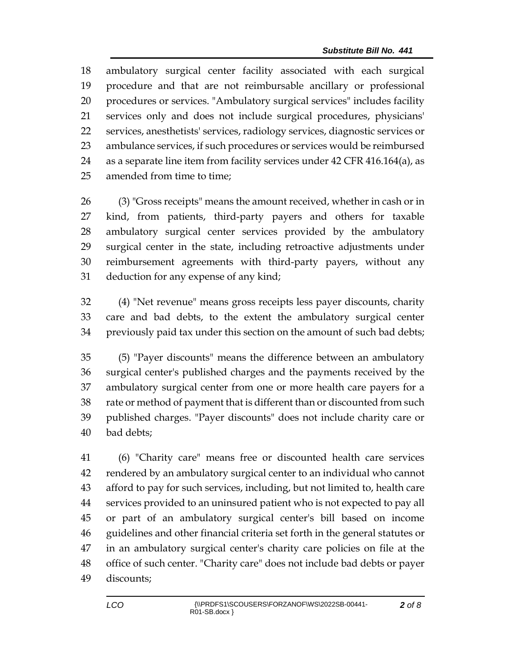ambulatory surgical center facility associated with each surgical procedure and that are not reimbursable ancillary or professional procedures or services. "Ambulatory surgical services" includes facility services only and does not include surgical procedures, physicians' services, anesthetists' services, radiology services, diagnostic services or ambulance services, if such procedures or services would be reimbursed as a separate line item from facility services under 42 CFR 416.164(a), as amended from time to time;

 (3) "Gross receipts" means the amount received, whether in cash or in kind, from patients, third-party payers and others for taxable ambulatory surgical center services provided by the ambulatory surgical center in the state, including retroactive adjustments under reimbursement agreements with third-party payers, without any deduction for any expense of any kind;

 (4) "Net revenue" means gross receipts less payer discounts, charity care and bad debts, to the extent the ambulatory surgical center previously paid tax under this section on the amount of such bad debts;

 (5) "Payer discounts" means the difference between an ambulatory surgical center's published charges and the payments received by the ambulatory surgical center from one or more health care payers for a rate or method of payment that is different than or discounted from such published charges. "Payer discounts" does not include charity care or bad debts;

 (6) "Charity care" means free or discounted health care services rendered by an ambulatory surgical center to an individual who cannot afford to pay for such services, including, but not limited to, health care services provided to an uninsured patient who is not expected to pay all or part of an ambulatory surgical center's bill based on income guidelines and other financial criteria set forth in the general statutes or in an ambulatory surgical center's charity care policies on file at the office of such center. "Charity care" does not include bad debts or payer discounts;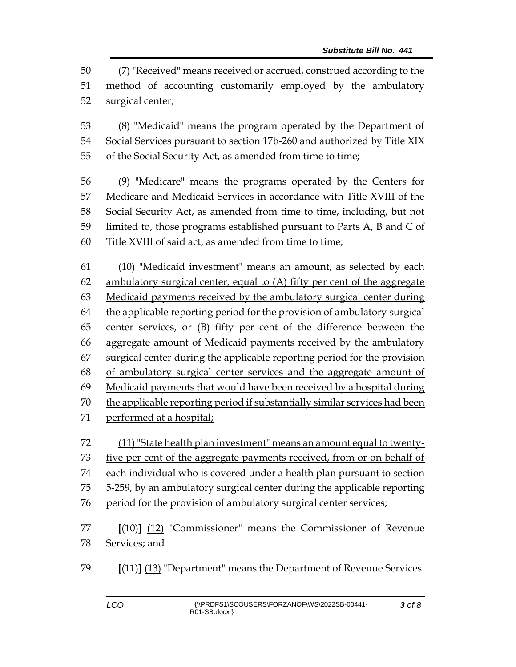(7) "Received" means received or accrued, construed according to the method of accounting customarily employed by the ambulatory surgical center;

 (8) "Medicaid" means the program operated by the Department of Social Services pursuant to section 17b-260 and authorized by Title XIX of the Social Security Act, as amended from time to time;

 (9) "Medicare" means the programs operated by the Centers for Medicare and Medicaid Services in accordance with Title XVIII of the Social Security Act, as amended from time to time, including, but not limited to, those programs established pursuant to Parts A, B and C of Title XVIII of said act, as amended from time to time;

 (10) "Medicaid investment" means an amount, as selected by each ambulatory surgical center, equal to (A) fifty per cent of the aggregate Medicaid payments received by the ambulatory surgical center during the applicable reporting period for the provision of ambulatory surgical center services, or (B) fifty per cent of the difference between the aggregate amount of Medicaid payments received by the ambulatory surgical center during the applicable reporting period for the provision of ambulatory surgical center services and the aggregate amount of Medicaid payments that would have been received by a hospital during the applicable reporting period if substantially similar services had been performed at a hospital;

- 72 (11) "State health plan investment" means an amount equal to twenty-
- 73 five per cent of the aggregate payments received, from or on behalf of
- each individual who is covered under a health plan pursuant to section
- 5-259, by an ambulatory surgical center during the applicable reporting
- period for the provision of ambulatory surgical center services;
- **[**(10)**]** (12) "Commissioner" means the Commissioner of Revenue Services; and
- **[**(11)**]** (13) "Department" means the Department of Revenue Services.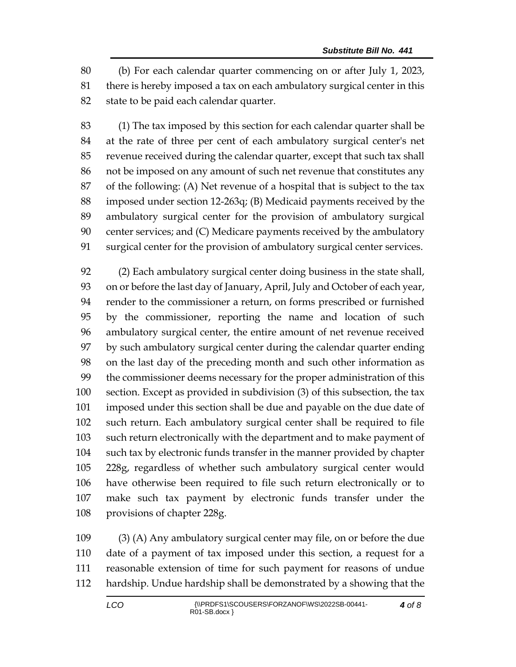(b) For each calendar quarter commencing on or after July 1, 2023, there is hereby imposed a tax on each ambulatory surgical center in this state to be paid each calendar quarter.

 (1) The tax imposed by this section for each calendar quarter shall be at the rate of three per cent of each ambulatory surgical center's net revenue received during the calendar quarter, except that such tax shall not be imposed on any amount of such net revenue that constitutes any of the following: (A) Net revenue of a hospital that is subject to the tax imposed under section 12-263q; (B) Medicaid payments received by the ambulatory surgical center for the provision of ambulatory surgical center services; and (C) Medicare payments received by the ambulatory surgical center for the provision of ambulatory surgical center services.

 (2) Each ambulatory surgical center doing business in the state shall, on or before the last day of January, April, July and October of each year, render to the commissioner a return, on forms prescribed or furnished by the commissioner, reporting the name and location of such ambulatory surgical center, the entire amount of net revenue received by such ambulatory surgical center during the calendar quarter ending on the last day of the preceding month and such other information as the commissioner deems necessary for the proper administration of this section. Except as provided in subdivision (3) of this subsection, the tax imposed under this section shall be due and payable on the due date of such return. Each ambulatory surgical center shall be required to file such return electronically with the department and to make payment of such tax by electronic funds transfer in the manner provided by chapter 228g, regardless of whether such ambulatory surgical center would have otherwise been required to file such return electronically or to make such tax payment by electronic funds transfer under the provisions of chapter 228g.

 (3) (A) Any ambulatory surgical center may file, on or before the due date of a payment of tax imposed under this section, a request for a reasonable extension of time for such payment for reasons of undue hardship. Undue hardship shall be demonstrated by a showing that the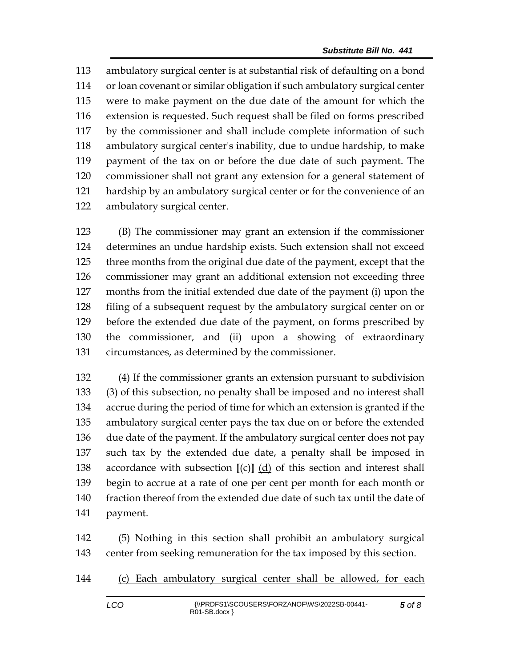ambulatory surgical center is at substantial risk of defaulting on a bond or loan covenant or similar obligation if such ambulatory surgical center were to make payment on the due date of the amount for which the extension is requested. Such request shall be filed on forms prescribed by the commissioner and shall include complete information of such ambulatory surgical center's inability, due to undue hardship, to make payment of the tax on or before the due date of such payment. The commissioner shall not grant any extension for a general statement of hardship by an ambulatory surgical center or for the convenience of an ambulatory surgical center.

 (B) The commissioner may grant an extension if the commissioner determines an undue hardship exists. Such extension shall not exceed three months from the original due date of the payment, except that the commissioner may grant an additional extension not exceeding three months from the initial extended due date of the payment (i) upon the filing of a subsequent request by the ambulatory surgical center on or before the extended due date of the payment, on forms prescribed by the commissioner, and (ii) upon a showing of extraordinary circumstances, as determined by the commissioner.

 (4) If the commissioner grants an extension pursuant to subdivision (3) of this subsection, no penalty shall be imposed and no interest shall accrue during the period of time for which an extension is granted if the ambulatory surgical center pays the tax due on or before the extended due date of the payment. If the ambulatory surgical center does not pay such tax by the extended due date, a penalty shall be imposed in accordance with subsection **[**(c)**]** (d) of this section and interest shall begin to accrue at a rate of one per cent per month for each month or fraction thereof from the extended due date of such tax until the date of payment.

 (5) Nothing in this section shall prohibit an ambulatory surgical center from seeking remuneration for the tax imposed by this section.

(c) Each ambulatory surgical center shall be allowed, for each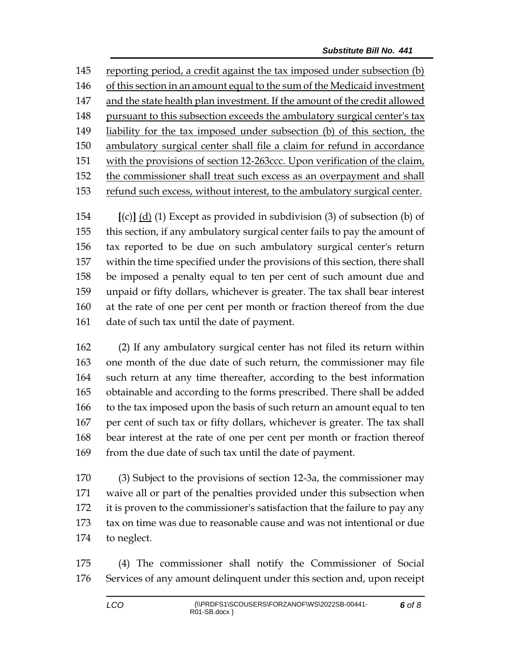reporting period, a credit against the tax imposed under subsection (b) of this section in an amount equal to the sum of the Medicaid investment and the state health plan investment. If the amount of the credit allowed 148 pursuant to this subsection exceeds the ambulatory surgical center's tax liability for the tax imposed under subsection (b) of this section, the ambulatory surgical center shall file a claim for refund in accordance with the provisions of section 12-263ccc. Upon verification of the claim, the commissioner shall treat such excess as an overpayment and shall refund such excess, without interest, to the ambulatory surgical center.

 **[**(c)**]** (d) (1) Except as provided in subdivision (3) of subsection (b) of this section, if any ambulatory surgical center fails to pay the amount of tax reported to be due on such ambulatory surgical center's return within the time specified under the provisions of this section, there shall be imposed a penalty equal to ten per cent of such amount due and unpaid or fifty dollars, whichever is greater. The tax shall bear interest at the rate of one per cent per month or fraction thereof from the due 161 date of such tax until the date of payment.

 (2) If any ambulatory surgical center has not filed its return within one month of the due date of such return, the commissioner may file such return at any time thereafter, according to the best information obtainable and according to the forms prescribed. There shall be added to the tax imposed upon the basis of such return an amount equal to ten per cent of such tax or fifty dollars, whichever is greater. The tax shall bear interest at the rate of one per cent per month or fraction thereof 169 from the due date of such tax until the date of payment.

 (3) Subject to the provisions of section 12-3a, the commissioner may waive all or part of the penalties provided under this subsection when it is proven to the commissioner's satisfaction that the failure to pay any tax on time was due to reasonable cause and was not intentional or due to neglect.

 (4) The commissioner shall notify the Commissioner of Social Services of any amount delinquent under this section and, upon receipt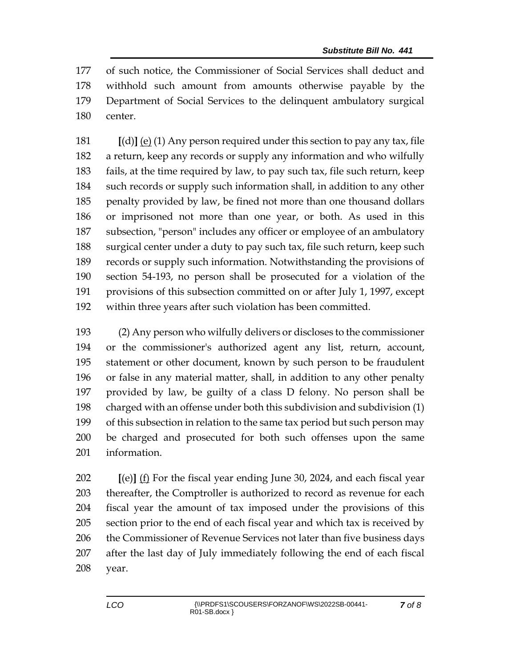of such notice, the Commissioner of Social Services shall deduct and withhold such amount from amounts otherwise payable by the Department of Social Services to the delinquent ambulatory surgical center.

 **[**(d)**]** (e) (1) Any person required under this section to pay any tax, file a return, keep any records or supply any information and who wilfully fails, at the time required by law, to pay such tax, file such return, keep such records or supply such information shall, in addition to any other penalty provided by law, be fined not more than one thousand dollars or imprisoned not more than one year, or both. As used in this subsection, "person" includes any officer or employee of an ambulatory surgical center under a duty to pay such tax, file such return, keep such records or supply such information. Notwithstanding the provisions of section 54-193, no person shall be prosecuted for a violation of the provisions of this subsection committed on or after July 1, 1997, except within three years after such violation has been committed.

 (2) Any person who wilfully delivers or discloses to the commissioner or the commissioner's authorized agent any list, return, account, statement or other document, known by such person to be fraudulent or false in any material matter, shall, in addition to any other penalty provided by law, be guilty of a class D felony. No person shall be charged with an offense under both this subdivision and subdivision (1) of this subsection in relation to the same tax period but such person may be charged and prosecuted for both such offenses upon the same information.

 **[**(e)**]** (f) For the fiscal year ending June 30, 2024, and each fiscal year thereafter, the Comptroller is authorized to record as revenue for each fiscal year the amount of tax imposed under the provisions of this section prior to the end of each fiscal year and which tax is received by 206 the Commissioner of Revenue Services not later than five business days after the last day of July immediately following the end of each fiscal year.